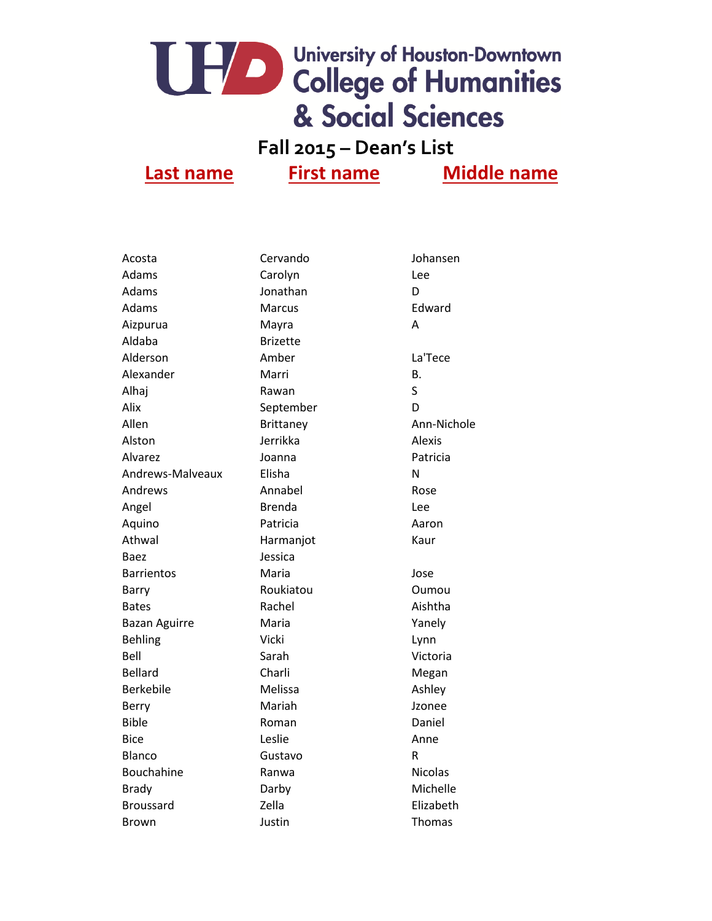### **Fall 2015 – Dean's List**

| Acosta               | Cervando        | Johansen       |
|----------------------|-----------------|----------------|
| Adams                | Carolyn         | Lee            |
| Adams                | Jonathan        | D              |
| <b>Adams</b>         | <b>Marcus</b>   | Edward         |
| Aizpurua             | Mayra           | A              |
| Aldaba               | <b>Brizette</b> |                |
| Alderson             | Amber           | La'Tece        |
| Alexander            | Marri           | Β.             |
| Alhaj                | Rawan           | S              |
| Alix                 | September       | D              |
| Allen                | Brittaney       | Ann-Nichole    |
| Alston               | Jerrikka        | Alexis         |
| Alvarez              | Joanna          | Patricia       |
| Andrews-Malveaux     | Elisha          | Ν              |
| Andrews              | Annabel         | Rose           |
| Angel                | <b>Brenda</b>   | Lee            |
| Aquino               | Patricia        | Aaron          |
| Athwal               | Harmanjot       | Kaur           |
| Baez                 | Jessica         |                |
| <b>Barrientos</b>    | Maria           | Jose           |
| Barry                | Roukiatou       | Oumou          |
| <b>Bates</b>         | Rachel          | Aishtha        |
| <b>Bazan Aguirre</b> | Maria           | Yanely         |
| <b>Behling</b>       | Vicki           | Lynn           |
| Bell                 | Sarah           | Victoria       |
| <b>Bellard</b>       | Charli          | Megan          |
| <b>Berkebile</b>     | Melissa         | Ashley         |
| Berry                | Mariah          | Jzonee         |
| <b>Bible</b>         | Roman           | Daniel         |
| Bice                 | Leslie          | Anne           |
| Blanco               | Gustavo         | R              |
| Bouchahine           | Ranwa           | <b>Nicolas</b> |
| <b>Brady</b>         | Darby           | Michelle       |
| Broussard            | Zella           | Elizabeth      |
| Brown                | Justin          | Thomas         |
|                      |                 |                |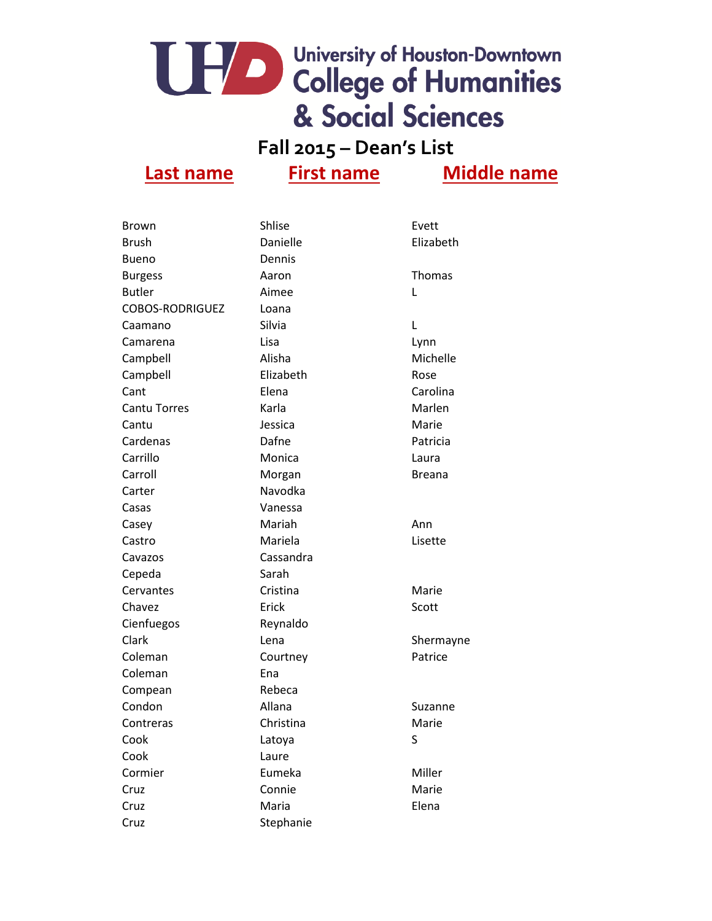### **Fall 2015 – Dean's List**

| <b>Brown</b>           | Shlise    | Evett         |
|------------------------|-----------|---------------|
| Brush                  | Danielle  | Elizabeth     |
| <b>Bueno</b>           | Dennis    |               |
| <b>Burgess</b>         | Aaron     | <b>Thomas</b> |
| <b>Butler</b>          | Aimee     | L             |
| <b>COBOS-RODRIGUEZ</b> | Loana     |               |
| Caamano                | Silvia    | L             |
| Camarena               | Lisa      | Lynn          |
| Campbell               | Alisha    | Michelle      |
| Campbell               | Elizabeth | Rose          |
| Cant                   | Elena     | Carolina      |
| <b>Cantu Torres</b>    | Karla     | Marlen        |
| Cantu                  | Jessica   | Marie         |
| Cardenas               | Dafne     | Patricia      |
| Carrillo               | Monica    | Laura         |
| Carroll                | Morgan    | Breana        |
| Carter                 | Navodka   |               |
| Casas                  | Vanessa   |               |
| Casey                  | Mariah    | Ann           |
| Castro                 | Mariela   | Lisette       |
| Cavazos                | Cassandra |               |
| Cepeda                 | Sarah     |               |
| Cervantes              | Cristina  | Marie         |
| Chavez                 | Erick     | Scott         |
| Cienfuegos             | Reynaldo  |               |
| Clark                  | Lena      | Shermayne     |
| Coleman                | Courtney  | Patrice       |
| Coleman                | Ena       |               |
| Compean                | Rebeca    |               |
| Condon                 | Allana    | Suzanne       |
| Contreras              | Christina | Marie         |
| Cook                   | Latoya    | S             |
| Cook                   | Laure     |               |
| Cormier                | Eumeka    | Miller        |
| Cruz                   | Connie    | Marie         |
| Cruz                   | Maria     | Elena         |
| Cruz                   | Stephanie |               |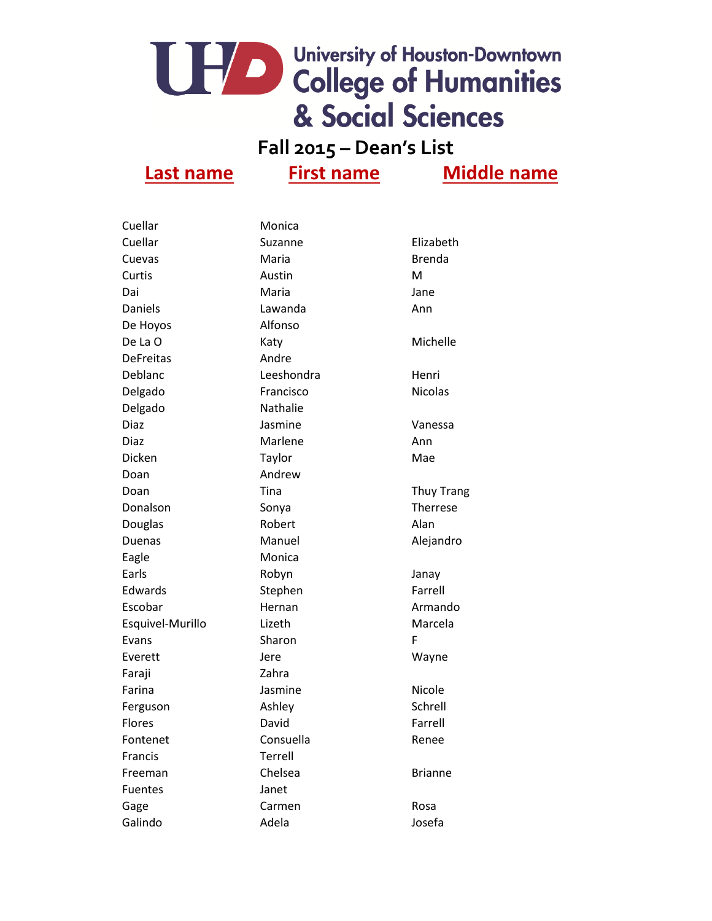### **Fall 2015 – Dean's List**

| Cuellar          | Monica          |                   |
|------------------|-----------------|-------------------|
| Cuellar          | Suzanne         | Elizabeth         |
| Cuevas           | Maria           | <b>Brenda</b>     |
| Curtis           | Austin          | M                 |
| Dai              | Maria           | Jane              |
| Daniels          | Lawanda         | Ann               |
| De Hoyos         | Alfonso         |                   |
| De La O          | Katy            | Michelle          |
| <b>DeFreitas</b> | Andre           |                   |
| Deblanc          | Leeshondra      | Henri             |
| Delgado          | Francisco       | <b>Nicolas</b>    |
| Delgado          | <b>Nathalie</b> |                   |
| Diaz             | Jasmine         | Vanessa           |
| Diaz             | Marlene         | Ann               |
| Dicken           | Taylor          | Mae               |
| Doan             | Andrew          |                   |
| Doan             | Tina            | <b>Thuy Trang</b> |
| Donalson         | Sonya           | Therrese          |
| Douglas          | Robert          | Alan              |
| Duenas           | Manuel          | Alejandro         |
| Eagle            | Monica          |                   |
| Earls            | Robyn           | Janay             |
| Edwards          | Stephen         | Farrell           |
| Escobar          | Hernan          | Armando           |
| Esquivel-Murillo | Lizeth          | Marcela           |
| Evans            | Sharon          | F                 |
| Everett          | Jere            | Wayne             |
| Faraji           | Zahra           |                   |
| Farina           | Jasmine         | Nicole            |
| Ferguson         | Ashley          | Schrell           |
| <b>Flores</b>    | David           | Farrell           |
| Fontenet         | Consuella       | Renee             |
| Francis          | Terrell         |                   |
| Freeman          | Chelsea         | <b>Brianne</b>    |
| <b>Fuentes</b>   | Janet           |                   |
| Gage             | Carmen          | Rosa              |
| Galindo          | Adela           | Josefa            |
|                  |                 |                   |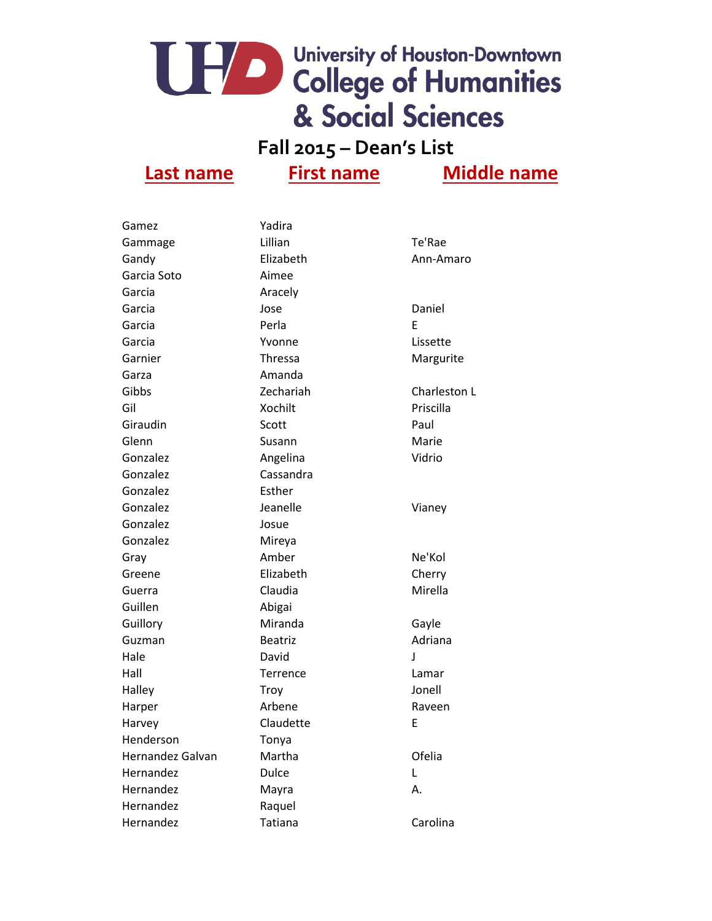### **Fall 2015 – Dean's List**

| Gamez            | Yadira          |              |
|------------------|-----------------|--------------|
| Gammage          | Lillian         | Te'Rae       |
| Gandy            | Elizabeth       | Ann-Amaro    |
| Garcia Soto      | Aimee           |              |
| Garcia           | Aracely         |              |
| Garcia           | Jose            | Daniel       |
| Garcia           | Perla           | E            |
| Garcia           | Yvonne          | Lissette     |
| Garnier          | <b>Thressa</b>  | Margurite    |
| Garza            | Amanda          |              |
| Gibbs            | Zechariah       | Charleston L |
| Gil              | Xochilt         | Priscilla    |
| Giraudin         | Scott           | Paul         |
| Glenn            | Susann          | Marie        |
| Gonzalez         | Angelina        | Vidrio       |
| Gonzalez         | Cassandra       |              |
| Gonzalez         | Esther          |              |
| Gonzalez         | Jeanelle        | Vianey       |
| Gonzalez         | Josue           |              |
| Gonzalez         | Mireya          |              |
| Gray             | Amber           | Ne'Kol       |
| Greene           | Elizabeth       | Cherry       |
| Guerra           | Claudia         | Mirella      |
| Guillen          | Abigai          |              |
| Guillory         | Miranda         | Gayle        |
| Guzman           | <b>Beatriz</b>  | Adriana      |
| Hale             | David           | J            |
| Hall             | <b>Terrence</b> | Lamar        |
| Halley           | Troy            | Jonell       |
| Harper           | Arbene          | Raveen       |
| Harvey           | Claudette       | Ε            |
| Henderson        | Tonya           |              |
| Hernandez Galvan | Martha          | Ofelia       |
| Hernandez        | <b>Dulce</b>    | L            |
| Hernandez        | Mayra           | А.           |
| Hernandez        | Raquel          |              |
| Hernandez        | Tatiana         | Carolina     |
|                  |                 |              |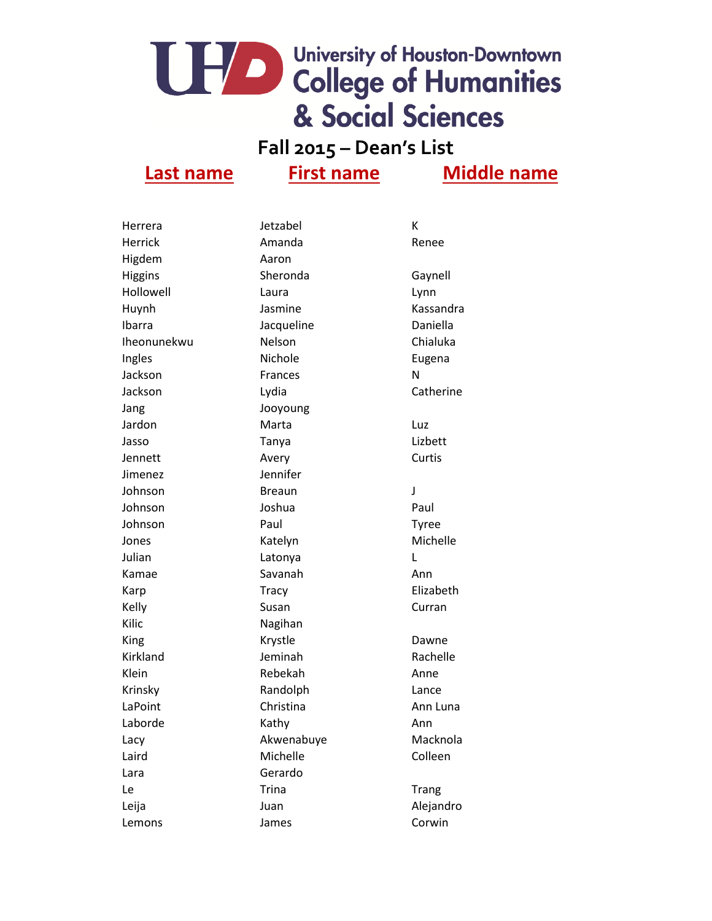### **Fall 2015 – Dean's List**

| Herrera     | Jetzabel       | К            |
|-------------|----------------|--------------|
| Herrick     | Amanda         | Renee        |
| Higdem      | Aaron          |              |
| Higgins     | Sheronda       | Gaynell      |
| Hollowell   | Laura          | Lynn         |
| Huynh       | Jasmine        | Kassandra    |
| Ibarra      | Jacqueline     | Daniella     |
| Iheonunekwu | Nelson         | Chialuka     |
| Ingles      | Nichole        | Eugena       |
| Jackson     | <b>Frances</b> | N            |
| Jackson     | Lydia          | Catherine    |
| Jang        | Jooyoung       |              |
| Jardon      | Marta          | Luz          |
| Jasso       | Tanya          | Lizbett      |
| Jennett     | Avery          | Curtis       |
| Jimenez     | Jennifer       |              |
| Johnson     | <b>Breaun</b>  | J            |
| Johnson     | Joshua         | Paul         |
| Johnson     | Paul           | <b>Tyree</b> |
| Jones       | Katelyn        | Michelle     |
| Julian      | Latonya        | L            |
| Kamae       | Savanah        | Ann          |
| Karp        | <b>Tracy</b>   | Elizabeth    |
| Kelly       | Susan          | Curran       |
| Kilic       | Nagihan        |              |
| King        | Krystle        | Dawne        |
| Kirkland    | Jeminah        | Rachelle     |
| Klein       | Rebekah        | Anne         |
| Krinsky     | Randolph       | Lance        |
| LaPoint     | Christina      | Ann Luna     |
| Laborde     | Kathy          | Ann          |
| Lacy        | Akwenabuye     | Macknola     |
| Laird       | Michelle       | Colleen      |
| Lara        | Gerardo        |              |
| Le          | <b>Trina</b>   | <b>Trang</b> |
| Leija       | Juan           | Alejandro    |
| Lemons      | James          | Corwin       |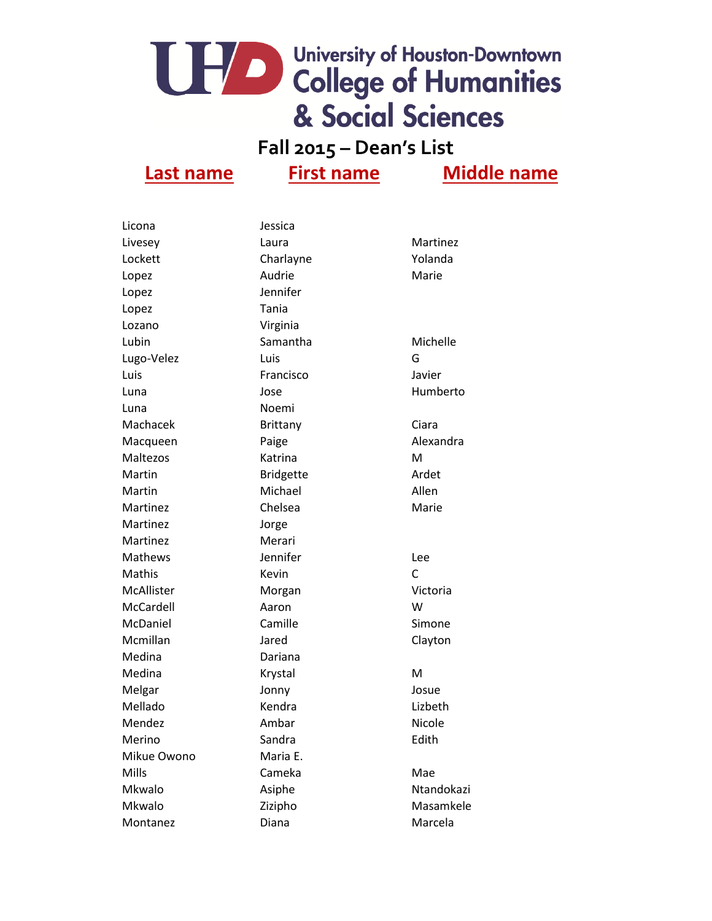### **Fall 2015 – Dean's List**

| Licona      | Jessica          |              |
|-------------|------------------|--------------|
| Livesey     | Laura            | Martinez     |
| Lockett     | Charlayne        | Yolanda      |
| Lopez       | Audrie           | Marie        |
| Lopez       | Jennifer         |              |
| Lopez       | Tania            |              |
| Lozano      | Virginia         |              |
| Lubin       | Samantha         | Michelle     |
| Lugo-Velez  | Luis             | G            |
| Luis        | Francisco        | Javier       |
| Luna        | Jose             | Humberto     |
| Luna        | Noemi            |              |
| Machacek    | <b>Brittany</b>  | Ciara        |
| Macqueen    | Paige            | Alexandra    |
| Maltezos    | Katrina          | M            |
| Martin      | <b>Bridgette</b> | Ardet        |
| Martin      | Michael          | Allen        |
| Martinez    | Chelsea          | Marie        |
| Martinez    | Jorge            |              |
| Martinez    | Merari           |              |
| Mathews     | Jennifer         | Lee          |
| Mathis      | Kevin            | $\mathsf{C}$ |
| McAllister  | Morgan           | Victoria     |
| McCardell   | Aaron            | W            |
| McDaniel    | Camille          | Simone       |
| Mcmillan    | Jared            | Clayton      |
| Medina      | Dariana          |              |
| Medina      | Krystal          | M            |
| Melgar      | Jonny            | Josue        |
| Mellado     | Kendra           | Lizbeth      |
| Mendez      | Ambar            | Nicole       |
| Merino      | Sandra           | Edith        |
| Mikue Owono | Maria E.         |              |
| Mills       | Cameka           | Mae          |
| Mkwalo      | Asiphe           | Ntandokazi   |
| Mkwalo      | Zizipho          | Masamkele    |
| Montanez    | Diana            | Marcela      |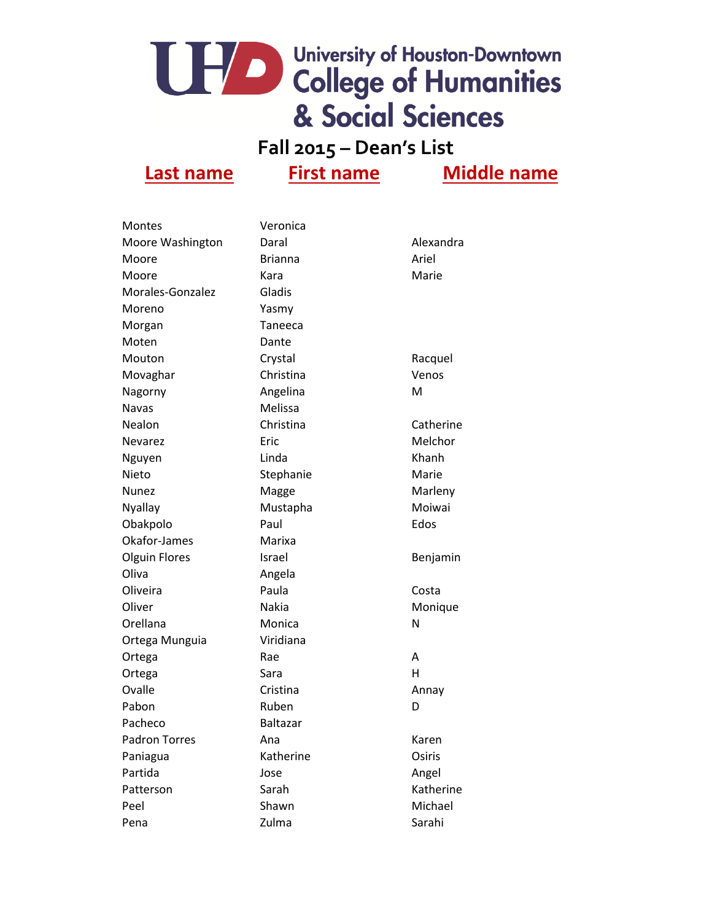### **Fall 2015 – Dean's List**

| <b>Montes</b>        | Veronica        |           |
|----------------------|-----------------|-----------|
| Moore Washington     | Daral           | Alexandra |
| Moore                | <b>Brianna</b>  | Ariel     |
| Moore                | Kara            | Marie     |
| Morales-Gonzalez     | Gladis          |           |
| Moreno               | Yasmy           |           |
| Morgan               | Taneeca         |           |
| Moten                | Dante           |           |
| Mouton               | Crystal         | Racquel   |
| Movaghar             | Christina       | Venos     |
| Nagorny              | Angelina        | M         |
| <b>Navas</b>         | Melissa         |           |
| Nealon               | Christina       | Catherine |
| <b>Nevarez</b>       | Eric            | Melchor   |
| Nguyen               | Linda           | Khanh     |
| Nieto                | Stephanie       | Marie     |
| <b>Nunez</b>         | Magge           | Marleny   |
| Nyallay              | Mustapha        | Moiwai    |
| Obakpolo             | Paul            | Edos      |
| Okafor-James         | Marixa          |           |
| <b>Olguin Flores</b> | Israel          | Benjamin  |
| Oliva                | Angela          |           |
| Oliveira             | Paula           | Costa     |
| Oliver               | Nakia           | Monique   |
| Orellana             | Monica          | N         |
| Ortega Munguia       | Viridiana       |           |
| Ortega               | Rae             | A         |
| Ortega               | Sara            | н         |
| Ovalle               | Cristina        | Annay     |
| Pabon                | Ruben           | D         |
| Pacheco              | <b>Baltazar</b> |           |
| <b>Padron Torres</b> | Ana             | Karen     |
| Paniagua             | Katherine       | Osiris    |
| Partida              | Jose            | Angel     |
| Patterson            | Sarah           | Katherine |
| Peel                 | Shawn           | Michael   |
| Pena                 | Zulma           | Sarahi    |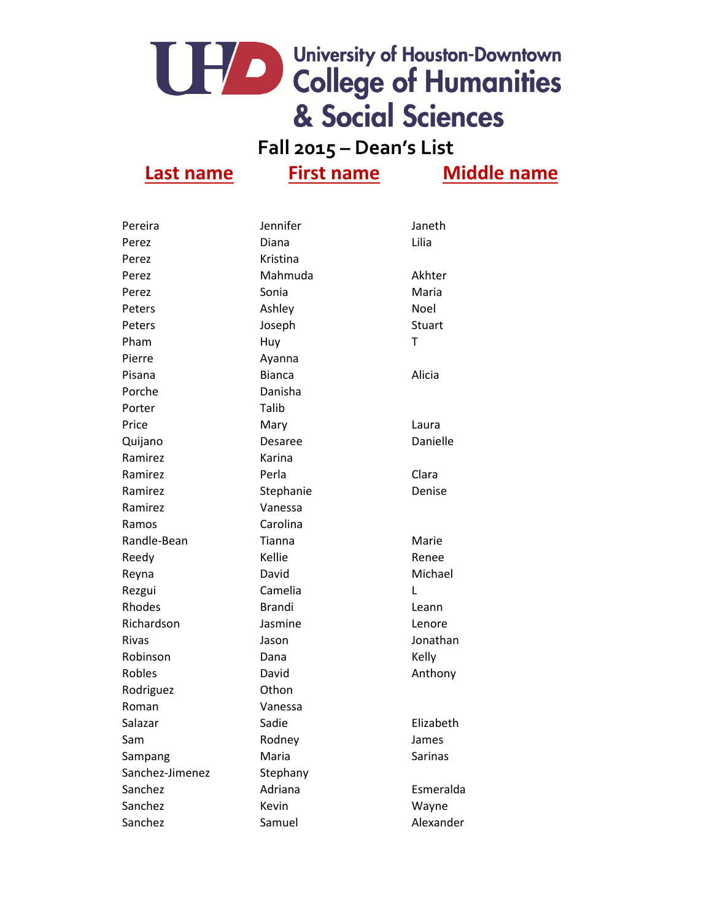### **Fall 2015 – Dean's List**

| Pereira         | Jennifer        | Janeth         |
|-----------------|-----------------|----------------|
| Perez           | Diana           | Lilia          |
| Perez           | <b>Kristina</b> |                |
| Perez           | Mahmuda         | Akhter         |
| Perez           | Sonia           | Maria          |
| Peters          | Ashley          | Noel           |
| Peters          | Joseph          | <b>Stuart</b>  |
| Pham            | Huy             | T              |
| Pierre          | Ayanna          |                |
| Pisana          | <b>Bianca</b>   | Alicia         |
| Porche          | Danisha         |                |
| Porter          | Talib           |                |
| Price           | Mary            | Laura          |
| Quijano         | Desaree         | Danielle       |
| Ramirez         | Karina          |                |
| Ramirez         | Perla           | Clara          |
| Ramirez         | Stephanie       | Denise         |
| Ramirez         | Vanessa         |                |
| Ramos           | Carolina        |                |
| Randle-Bean     | Tianna          | Marie          |
| Reedy           | Kellie          | Renee          |
| Reyna           | David           | Michael        |
| Rezgui          | Camelia         | L              |
| Rhodes          | <b>Brandi</b>   | Leann          |
| Richardson      | Jasmine         | Lenore         |
| Rivas           | Jason           | Jonathan       |
| Robinson        | Dana            | Kelly          |
| Robles          | David           | Anthony        |
| Rodriguez       | Othon           |                |
| Roman           | Vanessa         |                |
| Salazar         | Sadie           | Elizabeth      |
| Sam             | Rodney          | James          |
| Sampang         | Maria           | <b>Sarinas</b> |
| Sanchez-Jimenez | Stephany        |                |
| Sanchez         | Adriana         | Esmeralda      |
| Sanchez         | Kevin           | Wayne          |
| Sanchez         | Samuel          | Alexander      |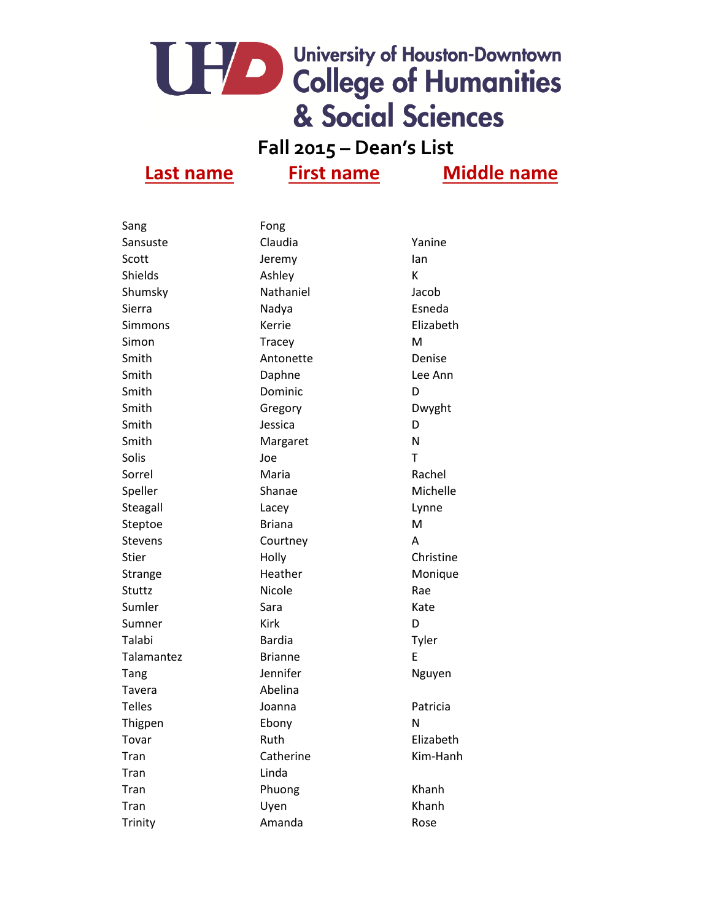**Fall 2015 – Dean's List**

| Sang           | Fong           |           |
|----------------|----------------|-----------|
| Sansuste       | Claudia        | Yanine    |
| Scott          | Jeremy         | lan       |
| Shields        | Ashley         | K         |
| Shumsky        | Nathaniel      | Jacob     |
| Sierra         | Nadya          | Esneda    |
| Simmons        | Kerrie         | Elizabeth |
| Simon          | Tracey         | M         |
| Smith          | Antonette      | Denise    |
| Smith          | Daphne         | Lee Ann   |
| Smith          | Dominic        | D         |
| Smith          | Gregory        | Dwyght    |
| Smith          | Jessica        | D         |
| Smith          | Margaret       | N         |
| Solis          | Joe            | T         |
| Sorrel         | Maria          | Rachel    |
| Speller        | Shanae         | Michelle  |
| Steagall       | Lacey          | Lynne     |
| Steptoe        | <b>Briana</b>  | M         |
| <b>Stevens</b> | Courtney       | A         |
| <b>Stier</b>   | Holly          | Christine |
| Strange        | Heather        | Monique   |
| Stuttz         | Nicole         | Rae       |
| Sumler         | Sara           | Kate      |
| Sumner         | Kirk           | D         |
| Talabi         | <b>Bardia</b>  | Tyler     |
| Talamantez     | <b>Brianne</b> | E         |
| Tang           | Jennifer       | Nguyen    |
| Tavera         | Abelina        |           |
| <b>Telles</b>  | Joanna         | Patricia  |
| Thigpen        | Ebony          | N         |
| Tovar          | Ruth           | Elizabeth |
| Tran           | Catherine      | Kim-Hanh  |
| Tran           | Linda          |           |
| Tran           | Phuong         | Khanh     |
| Tran           | Uyen           | Khanh     |
| Trinity        | Amanda         | Rose      |
|                |                |           |